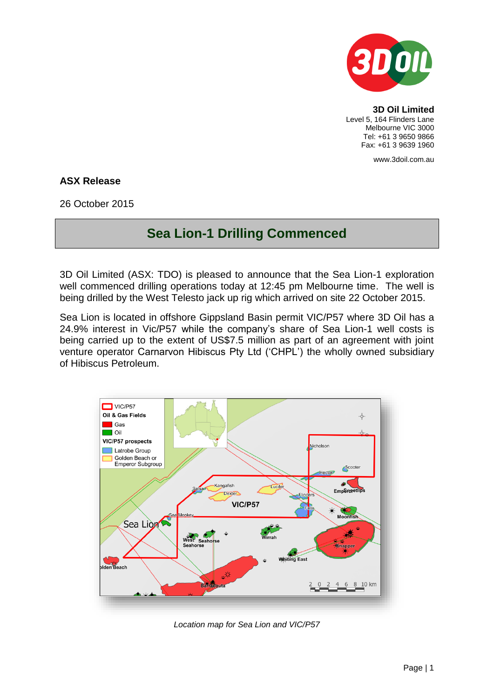

**3D Oil Limited** Level 5, 164 Flinders Lane Melbourne VIC 3000 Tel: +61 3 9650 9866 Fax: +61 3 9639 1960

www.3doil.com.au

## **ASX Release**

26 October 2015

## **Sea Lion-1 Drilling Commenced**

3D Oil Limited (ASX: TDO) is pleased to announce that the Sea Lion-1 exploration well commenced drilling operations today at 12:45 pm Melbourne time. The well is being drilled by the West Telesto jack up rig which arrived on site 22 October 2015.

Sea Lion is located in offshore Gippsland Basin permit VIC/P57 where 3D Oil has a 24.9% interest in Vic/P57 while the company's share of Sea Lion-1 well costs is being carried up to the extent of US\$7.5 million as part of an agreement with joint venture operator Carnarvon Hibiscus Pty Ltd ('CHPL') the wholly owned subsidiary of Hibiscus Petroleum.



*Location map for Sea Lion and VIC/P57*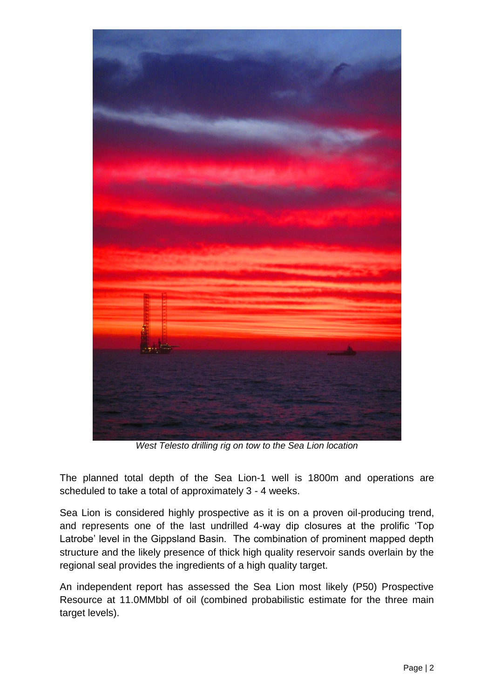

*West Telesto drilling rig on tow to the Sea Lion location*

The planned total depth of the Sea Lion-1 well is 1800m and operations are scheduled to take a total of approximately 3 - 4 weeks.

Sea Lion is considered highly prospective as it is on a proven oil-producing trend. and represents one of the last undrilled 4-way dip closures at the prolific 'Top Latrobe' level in the Gippsland Basin. The combination of prominent mapped depth structure and the likely presence of thick high quality reservoir sands overlain by the regional seal provides the ingredients of a high quality target.

An independent report has assessed the Sea Lion most likely (P50) Prospective Resource at 11.0MMbbl of oil (combined probabilistic estimate for the three main target levels).